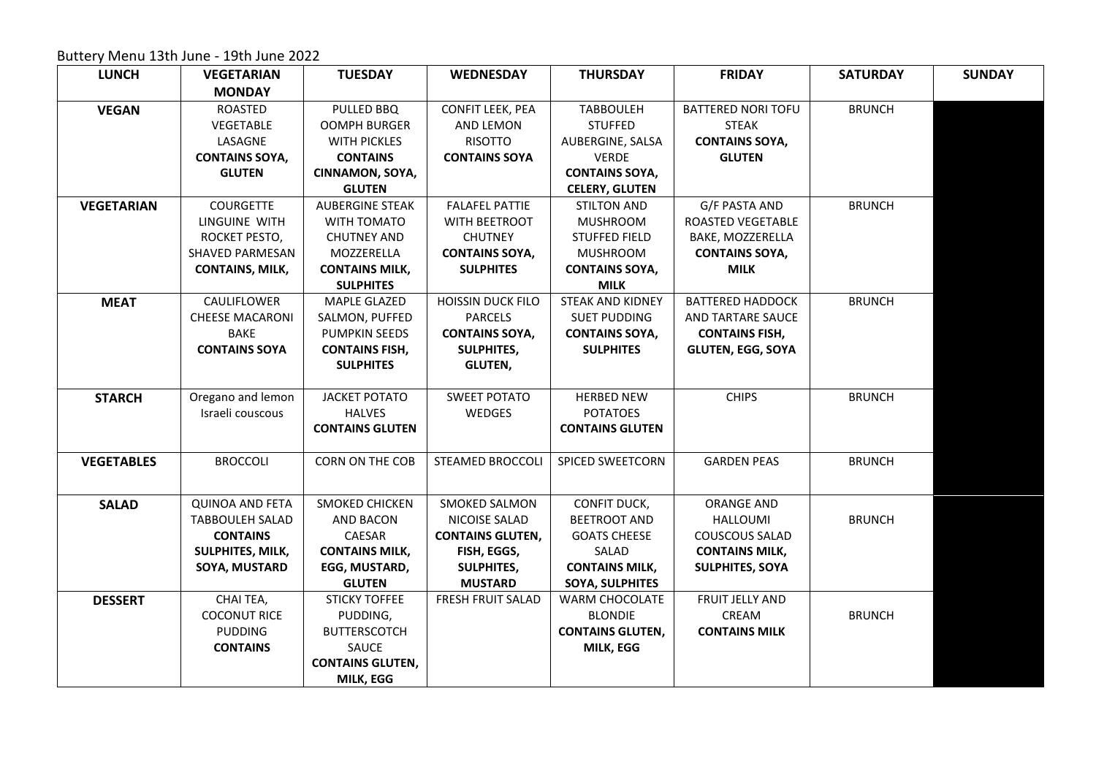Buttery Menu 13th June - 19th June 2022

| <b>LUNCH</b>      | <b>VEGETARIAN</b>      | <b>TUESDAY</b>          | <b>WEDNESDAY</b>         | <b>THURSDAY</b>         | <b>FRIDAY</b>             | <b>SATURDAY</b> |
|-------------------|------------------------|-------------------------|--------------------------|-------------------------|---------------------------|-----------------|
|                   | <b>MONDAY</b>          |                         |                          |                         |                           |                 |
| <b>VEGAN</b>      | <b>ROASTED</b>         | PULLED BBQ              | CONFIT LEEK, PEA         | <b>TABBOULEH</b>        | <b>BATTERED NORI TOFU</b> | <b>BRUNCH</b>   |
|                   | VEGETABLE              | <b>OOMPH BURGER</b>     | AND LEMON                | <b>STUFFED</b>          | <b>STEAK</b>              |                 |
|                   | LASAGNE                | <b>WITH PICKLES</b>     | <b>RISOTTO</b>           | AUBERGINE, SALSA        | <b>CONTAINS SOYA,</b>     |                 |
|                   | <b>CONTAINS SOYA,</b>  | <b>CONTAINS</b>         | <b>CONTAINS SOYA</b>     | <b>VERDE</b>            | <b>GLUTEN</b>             |                 |
|                   | <b>GLUTEN</b>          | CINNAMON, SOYA,         |                          | <b>CONTAINS SOYA,</b>   |                           |                 |
|                   |                        | <b>GLUTEN</b>           |                          | <b>CELERY, GLUTEN</b>   |                           |                 |
| <b>VEGETARIAN</b> | <b>COURGETTE</b>       | <b>AUBERGINE STEAK</b>  | <b>FALAFEL PATTIE</b>    | <b>STILTON AND</b>      | G/F PASTA AND             | <b>BRUNCH</b>   |
|                   | LINGUINE WITH          | WITH TOMATO             | WITH BEETROOT            | <b>MUSHROOM</b>         | ROASTED VEGETABLE         |                 |
|                   | ROCKET PESTO,          | <b>CHUTNEY AND</b>      | <b>CHUTNEY</b>           | <b>STUFFED FIELD</b>    | BAKE, MOZZERELLA          |                 |
|                   | SHAVED PARMESAN        | MOZZERELLA              | <b>CONTAINS SOYA,</b>    | <b>MUSHROOM</b>         | <b>CONTAINS SOYA,</b>     |                 |
|                   | <b>CONTAINS, MILK,</b> | <b>CONTAINS MILK,</b>   | <b>SULPHITES</b>         | <b>CONTAINS SOYA,</b>   | <b>MILK</b>               |                 |
|                   |                        | <b>SULPHITES</b>        |                          | <b>MILK</b>             |                           |                 |
| <b>MEAT</b>       | CAULIFLOWER            | <b>MAPLE GLAZED</b>     | <b>HOISSIN DUCK FILO</b> | <b>STEAK AND KIDNEY</b> | <b>BATTERED HADDOCK</b>   | <b>BRUNCH</b>   |
|                   | <b>CHEESE MACARONI</b> | SALMON, PUFFED          | <b>PARCELS</b>           | <b>SUET PUDDING</b>     | AND TARTARE SAUCE         |                 |
|                   | <b>BAKE</b>            | PUMPKIN SEEDS           | <b>CONTAINS SOYA,</b>    | <b>CONTAINS SOYA,</b>   | <b>CONTAINS FISH,</b>     |                 |
|                   | <b>CONTAINS SOYA</b>   | <b>CONTAINS FISH,</b>   | <b>SULPHITES,</b>        | <b>SULPHITES</b>        | <b>GLUTEN, EGG, SOYA</b>  |                 |
|                   |                        | <b>SULPHITES</b>        | <b>GLUTEN,</b>           |                         |                           |                 |
|                   |                        |                         |                          |                         |                           |                 |
| <b>STARCH</b>     | Oregano and lemon      | <b>JACKET POTATO</b>    | <b>SWEET POTATO</b>      | <b>HERBED NEW</b>       | <b>CHIPS</b>              | <b>BRUNCH</b>   |
|                   | Israeli couscous       | <b>HALVES</b>           | WEDGES                   | <b>POTATOES</b>         |                           |                 |
|                   |                        | <b>CONTAINS GLUTEN</b>  |                          | <b>CONTAINS GLUTEN</b>  |                           |                 |
| <b>VEGETABLES</b> | <b>BROCCOLI</b>        | CORN ON THE COB         | <b>STEAMED BROCCOLI</b>  | <b>SPICED SWEETCORN</b> | <b>GARDEN PEAS</b>        | <b>BRUNCH</b>   |
|                   |                        |                         |                          |                         |                           |                 |
| <b>SALAD</b>      | <b>QUINOA AND FETA</b> | <b>SMOKED CHICKEN</b>   | SMOKED SALMON            | CONFIT DUCK,            | <b>ORANGE AND</b>         |                 |
|                   | <b>TABBOULEH SALAD</b> | AND BACON               | NICOISE SALAD            | <b>BEETROOT AND</b>     | <b>HALLOUMI</b>           | <b>BRUNCH</b>   |
|                   | <b>CONTAINS</b>        | CAESAR                  | <b>CONTAINS GLUTEN,</b>  | <b>GOATS CHEESE</b>     | <b>COUSCOUS SALAD</b>     |                 |
|                   | SULPHITES, MILK,       | <b>CONTAINS MILK,</b>   | FISH, EGGS,              | SALAD                   | <b>CONTAINS MILK,</b>     |                 |
|                   | SOYA, MUSTARD          | EGG, MUSTARD,           | <b>SULPHITES,</b>        | <b>CONTAINS MILK,</b>   | <b>SULPHITES, SOYA</b>    |                 |
|                   |                        | <b>GLUTEN</b>           | <b>MUSTARD</b>           | SOYA, SULPHITES         |                           |                 |
| <b>DESSERT</b>    | CHAI TEA,              | <b>STICKY TOFFEE</b>    | <b>FRESH FRUIT SALAD</b> | WARM CHOCOLATE          | FRUIT JELLY AND           |                 |
|                   | <b>COCONUT RICE</b>    | PUDDING,                |                          | <b>BLONDIE</b>          | CREAM                     | <b>BRUNCH</b>   |
|                   | <b>PUDDING</b>         | <b>BUTTERSCOTCH</b>     |                          | <b>CONTAINS GLUTEN,</b> | <b>CONTAINS MILK</b>      |                 |
|                   | <b>CONTAINS</b>        | SAUCE                   |                          | MILK, EGG               |                           |                 |
|                   |                        | <b>CONTAINS GLUTEN,</b> |                          |                         |                           |                 |
|                   |                        | MILK, EGG               |                          |                         |                           |                 |